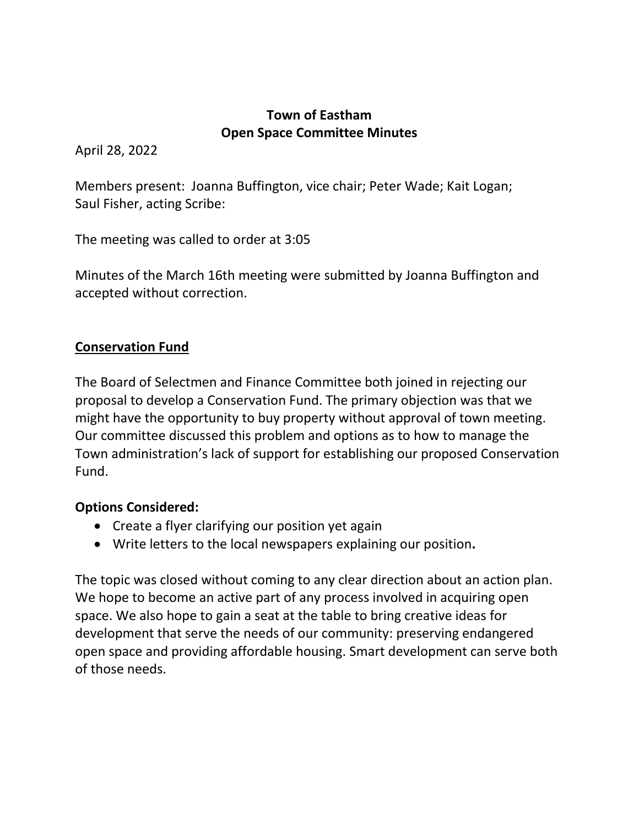## **Town of Eastham Open Space Committee Minutes**

April 28, 2022

Members present: Joanna Buffington, vice chair; Peter Wade; Kait Logan; Saul Fisher, acting Scribe:

The meeting was called to order at 3:05

Minutes of the March 16th meeting were submitted by Joanna Buffington and accepted without correction.

# **Conservation Fund**

The Board of Selectmen and Finance Committee both joined in rejecting our proposal to develop a Conservation Fund. The primary objection was that we might have the opportunity to buy property without approval of town meeting. Our committee discussed this problem and options as to how to manage the Town administration's lack of support for establishing our proposed Conservation Fund.

## **Options Considered:**

- Create a flyer clarifying our position yet again
- Write letters to the local newspapers explaining our position**.**

The topic was closed without coming to any clear direction about an action plan. We hope to become an active part of any process involved in acquiring open space. We also hope to gain a seat at the table to bring creative ideas for development that serve the needs of our community: preserving endangered open space and providing affordable housing. Smart development can serve both of those needs.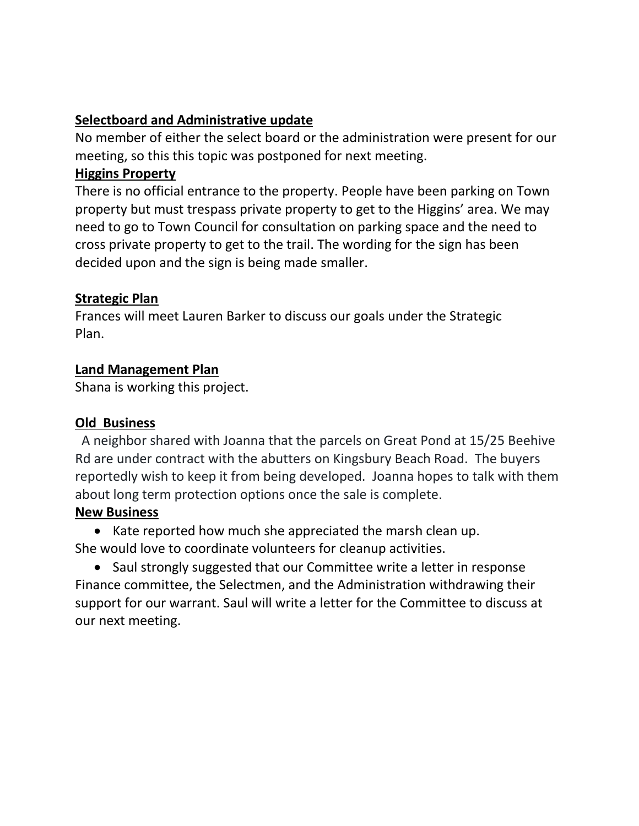## **Selectboard and Administrative update**

No member of either the select board or the administration were present for our meeting, so this this topic was postponed for next meeting.

### **Higgins Property**

There is no official entrance to the property. People have been parking on Town property but must trespass private property to get to the Higgins' area. We may need to go to Town Council for consultation on parking space and the need to cross private property to get to the trail. The wording for the sign has been decided upon and the sign is being made smaller.

### **Strategic Plan**

Frances will meet Lauren Barker to discuss our goals under the Strategic Plan.

### **Land Management Plan**

Shana is working this project.

## **Old Business**

 A neighbor shared with Joanna that the parcels on Great Pond at 15/25 Beehive Rd are under contract with the abutters on Kingsbury Beach Road. The buyers reportedly wish to keep it from being developed. Joanna hopes to talk with them about long term protection options once the sale is complete.

## **New Business**

• Kate reported how much she appreciated the marsh clean up. She would love to coordinate volunteers for cleanup activities.

• Saul strongly suggested that our Committee write a letter in response Finance committee, the Selectmen, and the Administration withdrawing their support for our warrant. Saul will write a letter for the Committee to discuss at our next meeting.